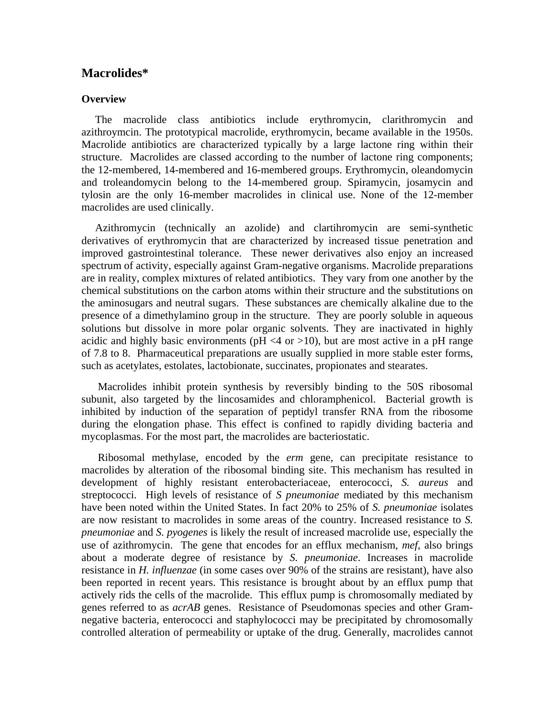## **Macrolides\***

## **Overview**

 The macrolide class antibiotics include erythromycin, clarithromycin and azithroymcin. The prototypical macrolide, erythromycin, became available in the 1950s. Macrolide antibiotics are characterized typically by a large lactone ring within their structure. Macrolides are classed according to the number of lactone ring components; the 12-membered, 14-membered and 16-membered groups. Erythromycin, oleandomycin and troleandomycin belong to the 14-membered group. Spiramycin, josamycin and tylosin are the only 16-member macrolides in clinical use. None of the 12-member macrolides are used clinically.

 Azithromycin (technically an azolide) and clartihromycin are semi-synthetic derivatives of erythromycin that are characterized by increased tissue penetration and improved gastrointestinal tolerance. These newer derivatives also enjoy an increased spectrum of activity, especially against Gram-negative organisms. Macrolide preparations are in reality, complex mixtures of related antibiotics. They vary from one another by the chemical substitutions on the carbon atoms within their structure and the substitutions on the aminosugars and neutral sugars. These substances are chemically alkaline due to the presence of a dimethylamino group in the structure. They are poorly soluble in aqueous solutions but dissolve in more polar organic solvents. They are inactivated in highly acidic and highly basic environments ( $pH < 4$  or  $>10$ ), but are most active in a pH range of 7.8 to 8. Pharmaceutical preparations are usually supplied in more stable ester forms, such as acetylates, estolates, lactobionate, succinates, propionates and stearates.

 Macrolides inhibit protein synthesis by reversibly binding to the 50S ribosomal subunit, also targeted by the lincosamides and chloramphenicol. Bacterial growth is inhibited by induction of the separation of peptidyl transfer RNA from the ribosome during the elongation phase. This effect is confined to rapidly dividing bacteria and mycoplasmas. For the most part, the macrolides are bacteriostatic.

 Ribosomal methylase, encoded by the *erm* gene, can precipitate resistance to macrolides by alteration of the ribosomal binding site. This mechanism has resulted in development of highly resistant enterobacteriaceae, enterococci, *S. aureus* and streptococci. High levels of resistance of *S pneumoniae* mediated by this mechanism have been noted within the United States. In fact 20% to 25% of *S. pneumoniae* isolates are now resistant to macrolides in some areas of the country. Increased resistance to *S. pneumoniae* and *S. pyogenes* is likely the result of increased macrolide use, especially the use of azithromycin. The gene that encodes for an efflux mechanism, *mef*, also brings about a moderate degree of resistance by *S. pneumoniae*. Increases in macrolide resistance in *H. influenzae* (in some cases over 90% of the strains are resistant), have also been reported in recent years. This resistance is brought about by an efflux pump that actively rids the cells of the macrolide. This efflux pump is chromosomally mediated by genes referred to as *acrAB* genes. Resistance of Pseudomonas species and other Gramnegative bacteria, enterococci and staphylococci may be precipitated by chromosomally controlled alteration of permeability or uptake of the drug. Generally, macrolides cannot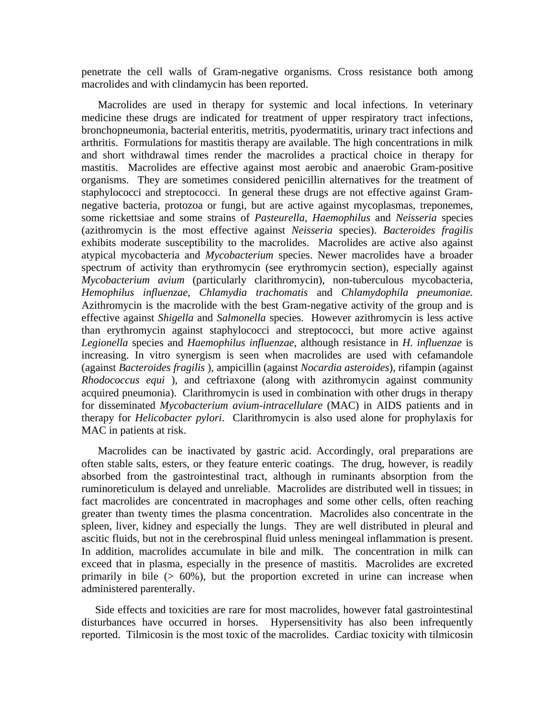penetrate the cell walls of Gram-negative organisms. Cross resistance both among macrolides and with clindamycin has been reported.

 Macrolides are used in therapy for systemic and local infections. In veterinary medicine these drugs are indicated for treatment of upper respiratory tract infections, bronchopneumonia, bacterial enteritis, metritis, pyodermatitis, urinary tract infections and arthritis. Formulations for mastitis therapy are available. The high concentrations in milk and short withdrawal times render the macrolides a practical choice in therapy for mastitis. Macrolides are effective against most aerobic and anaerobic Gram-positive organisms. They are sometimes considered penicillin alternatives for the treatment of staphylococci and streptococci. In general these drugs are not effective against Gramnegative bacteria, protozoa or fungi, but are active against mycoplasmas, treponemes, some rickettsiae and some strains of *Pasteurella, Haemophilus* and *Neisseria* species (azithromycin is the most effective against *Neisseria* species). *Bacteroides fragilis* exhibits moderate susceptibility to the macrolides. Macrolides are active also against atypical mycobacteria and *Mycobacterium* species. Newer macrolides have a broader spectrum of activity than erythromycin (see erythromycin section), especially against *Mycobacterium avium* (particularly clarithromycin)*,* non-tuberculous mycobacteria, *Hemophilus influenzae, Chlamydia trachomatis* and *Chlamydophila pneumoniae.* Azithromycin is the macrolide with the best Gram-negative activity of the group and is effective against *Shigella* and *Salmonella* species. However azithromycin is less active than erythromycin against staphylococci and streptococci, but more active against *Legionella* species and *Haemophilus influenzae,* although resistance in *H. influenzae* is increasing. In vitro synergism is seen when macrolides are used with cefamandole (against *Bacteroides fragilis* ), ampicillin (against *Nocardia asteroides*), rifampin (against *Rhodococcus equi* ), and ceftriaxone (along with azithromycin against community acquired pneumonia). Clarithromycin is used in combination with other drugs in therapy for disseminated *Mycobacterium avium-intracellulare* (MAC) in AIDS patients and in therapy for *Helicobacter pylori*. Clarithromycin is also used alone for prophylaxis for MAC in patients at risk.

 Macrolides can be inactivated by gastric acid. Accordingly, oral preparations are often stable salts, esters, or they feature enteric coatings. The drug, however, is readily absorbed from the gastrointestinal tract, although in ruminants absorption from the ruminoreticulum is delayed and unreliable. Macrolides are distributed well in tissues; in fact macrolides are concentrated in macrophages and some other cells, often reaching greater than twenty times the plasma concentration. Macrolides also concentrate in the spleen, liver, kidney and especially the lungs. They are well distributed in pleural and ascitic fluids, but not in the cerebrospinal fluid unless meningeal inflammation is present. In addition, macrolides accumulate in bile and milk. The concentration in milk can exceed that in plasma, especially in the presence of mastitis. Macrolides are excreted primarily in bile (> 60%), but the proportion excreted in urine can increase when administered parenterally.

 Side effects and toxicities are rare for most macrolides, however fatal gastrointestinal disturbances have occurred in horses. Hypersensitivity has also been infrequently reported. Tilmicosin is the most toxic of the macrolides. Cardiac toxicity with tilmicosin